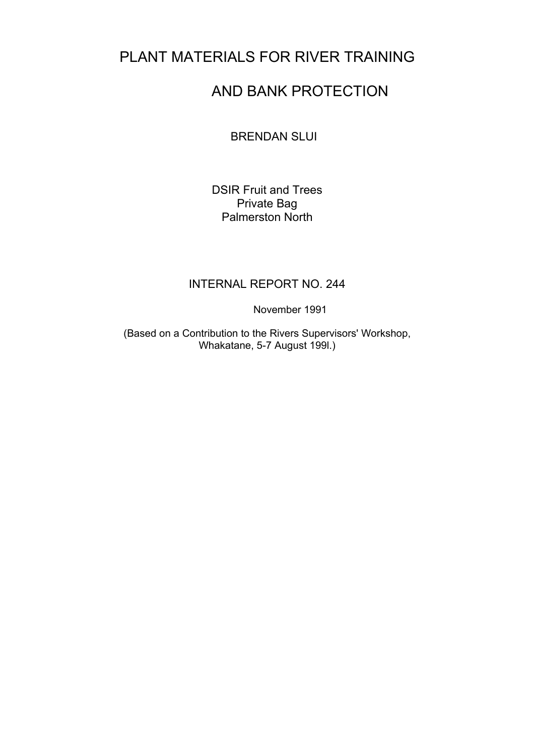# PLANT MATERIALS FOR RIVER TRAINING

# AND BANK PROTECTION

BRENDAN SLUI

DSIR Fruit and Trees Private Bag Palmerston North

#### INTERNAL REPORT NO. 244

November 1991

(Based on a Contribution to the Rivers Supervisors' Workshop, Whakatane, 5-7 August 199l.)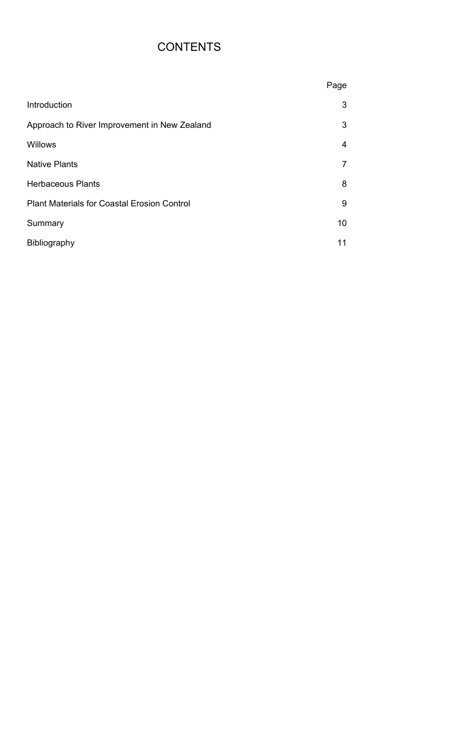# **CONTENTS**

|                                                    | Page            |
|----------------------------------------------------|-----------------|
| Introduction                                       | 3               |
| Approach to River Improvement in New Zealand       | 3               |
| <b>Willows</b>                                     | $\overline{4}$  |
| <b>Native Plants</b>                               | $\overline{7}$  |
| <b>Herbaceous Plants</b>                           | 8               |
| <b>Plant Materials for Coastal Erosion Control</b> | 9               |
| Summary                                            | 10 <sup>°</sup> |
| <b>Bibliography</b>                                | 11              |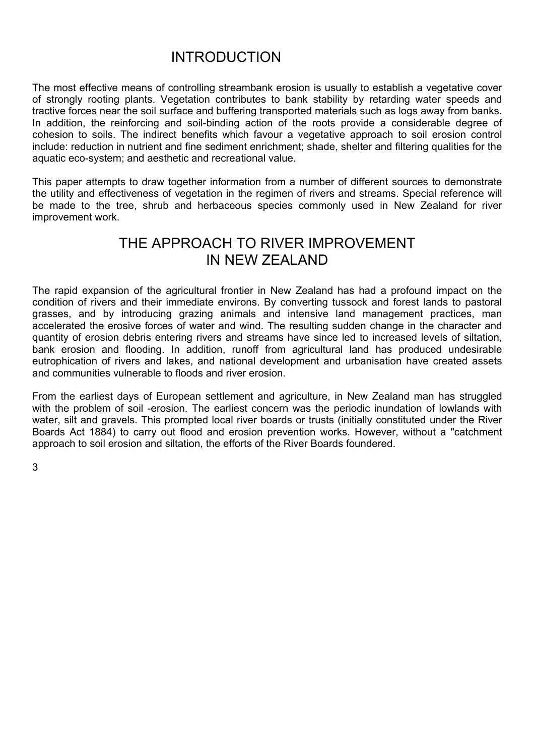### INTRODUCTION

The most effective means of controlling streambank erosion is usually to establish a vegetative cover of strongly rooting plants. Vegetation contributes to bank stability by retarding water speeds and tractive forces near the soil surface and buffering transported materials such as logs away from banks. In addition, the reinforcing and soil-binding action of the roots provide a considerable degree of cohesion to soils. The indirect benefits which favour a vegetative approach to soil erosion control include: reduction in nutrient and fine sediment enrichment; shade, shelter and filtering qualities for the aquatic eco-system; and aesthetic and recreational value.

This paper attempts to draw together information from a number of different sources to demonstrate the utility and effectiveness of vegetation in the regimen of rivers and streams. Special reference will be made to the tree, shrub and herbaceous species commonly used in New Zealand for river improvement work.

### THE APPROACH TO RIVER IMPROVEMENT IN NEW ZEALAND

The rapid expansion of the agricultural frontier in New Zealand has had a profound impact on the condition of rivers and their immediate environs. By converting tussock and forest lands to pastoral grasses, and by introducing grazing animals and intensive land management practices, man accelerated the erosive forces of water and wind. The resulting sudden change in the character and quantity of erosion debris entering rivers and streams have since led to increased levels of siltation, bank erosion and flooding. In addition, runoff from agricultural land has produced undesirable eutrophication of rivers and lakes, and national development and urbanisation have created assets and communities vulnerable to floods and river erosion.

From the earliest days of European settlement and agriculture, in New Zealand man has struggled with the problem of soil -erosion. The earliest concern was the periodic inundation of lowlands with water, silt and gravels. This prompted local river boards or trusts (initially constituted under the River Boards Act 1884) to carry out flood and erosion prevention works. However, without a "catchment approach to soil erosion and siltation, the efforts of the River Boards foundered.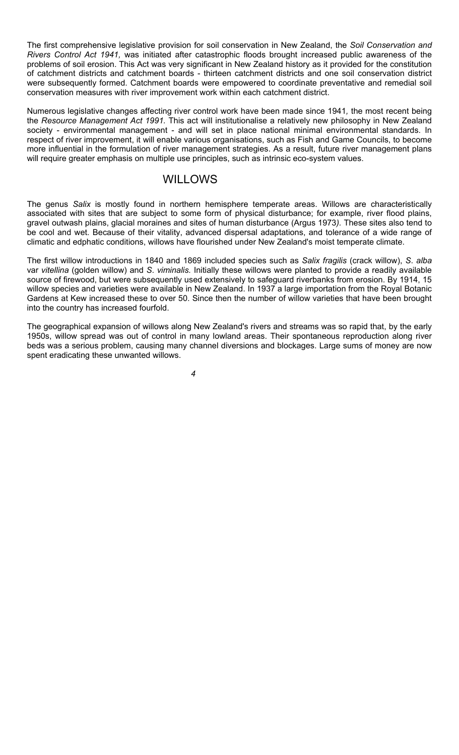The first comprehensive legislative provision for soil conservation in New Zealand, the *Soil Conservation and Rivers Control Act 1941,* was initiated after catastrophic floods brought increased public awareness of the problems of soil erosion. This Act was very significant in New Zealand history as it provided for the constitution of catchment districts and catchment boards - thirteen catchment districts and one soil conservation district were subsequently formed. Catchment boards were empowered to coordinate preventative and remedial soil conservation measures with river improvement work within each catchment district.

Numerous legislative changes affecting river control work have been made since 1941*,* the most recent being the *Resource Management Act 1991.* This act will institutionalise a relatively new philosophy in New Zealand society - environmental management - and will set in place national minimal environmental standards. In respect of river improvement, it will enable various organisations, such as Fish and Game Councils, to become more influential in the formulation of river management strategies. As a result, future river management plans will require greater emphasis on multiple use principles, such as intrinsic eco-system values.

### WILLOWS

The genus *Salix* is mostly found in northern hemisphere temperate areas. Willows are characteristically associated with sites that are subject to some form of physical disturbance; for example, river flood plains, gravel outwash plains, glacial moraines and sites of human disturbance (Argus 1973*).* These sites also tend to be cool and wet. Because of their vitality, advanced dispersal adaptations, and tolerance of a wide range of climatic and edphatic conditions, willows have flourished under New Zealand's moist temperate climate.

The first willow introductions in 1840 and 1869 included species such as *Salix fragilis* (crack willow), *S*. *alba* var *vitellina* (golden willow) and *S*. *viminalis.* Initially these willows were planted to provide a readily available source of firewood, but were subsequently used extensively to safeguard riverbanks from erosion. By 1914, 15 willow species and varieties were available in New Zealand. In 1937 a large importation from the Royal Botanic Gardens at Kew increased these to over 50. Since then the number of willow varieties that have been brought into the country has increased fourfold.

The geographical expansion of willows along New Zealand's rivers and streams was so rapid that, by the early 1950s, willow spread was out of control in many lowland areas. Their spontaneous reproduction along river beds was a serious problem, causing many channel diversions and blockages. Large sums of money are now spent eradicating these unwanted willows.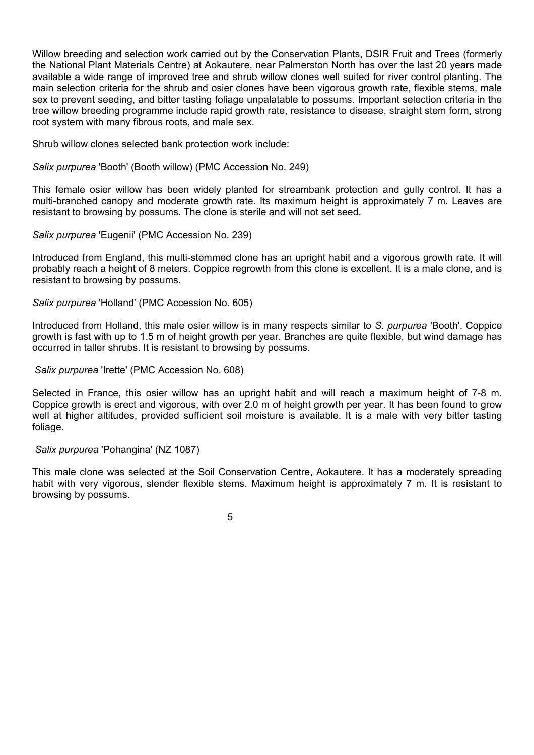Willow breeding and selection work carried out by the Conservation Plants, DSIR Fruit and Trees (formerly the National Plant Materials Centre) at Aokautere, near Palmerston North has over the last 20 years made available a wide range of improved tree and shrub willow clones well suited for river control planting. The main selection criteria for the shrub and osier clones have been vigorous growth rate, flexible stems, male sex to prevent seeding, and bitter tasting foliage unpalatable to possums. Important selection criteria in the tree willow breeding programme include rapid growth rate, resistance to disease, straight stem form, strong root system with many fibrous roots, and male sex.

Shrub willow clones selected bank protection work include:

*Salix purpurea* 'Booth' (Booth willow) (PMC Accession No. 249)

This female osier willow has been widely planted for streambank protection and gully control. It has a multi-branched canopy and moderate growth rate. Its maximum height is approximately 7 m. Leaves are resistant to browsing by possums. The clone is sterile and will not set seed.

*Salix purpurea* 'Eugenii' (PMC Accession No. 239)

Introduced from England, this multi-stemmed clone has an upright habit and a vigorous growth rate. It will probably reach a height of 8 meters. Coppice regrowth from this clone is excellent. It is a male clone, and is resistant to browsing by possums.

*Salix purpurea* 'Holland' (PMC Accession No. 605)

Introduced from Holland, this male osier willow is in many respects similar to *S. purpurea* 'Booth'. Coppice growth is fast with up to 1.5 m of height growth per year. Branches are quite flexible, but wind damage has occurred in taller shrubs. It is resistant to browsing by possums.

*Salix purpurea* 'Irette' (PMC Accession No. 608)

Selected in France, this osier willow has an upright habit and will reach a maximum height of 7-8 m. Coppice growth is erect and vigorous, with over 2.0 m of height growth per year. It has been found to grow well at higher altitudes, provided sufficient soil moisture is available. It is a male with very bitter tasting foliage.

#### *Salix purpurea* 'Pohangina' (NZ 1087)

This male clone was selected at the Soil Conservation Centre, Aokautere. It has a moderately spreading habit with very vigorous, slender flexible stems. Maximum height is approximately 7 m. It is resistant to browsing by possums.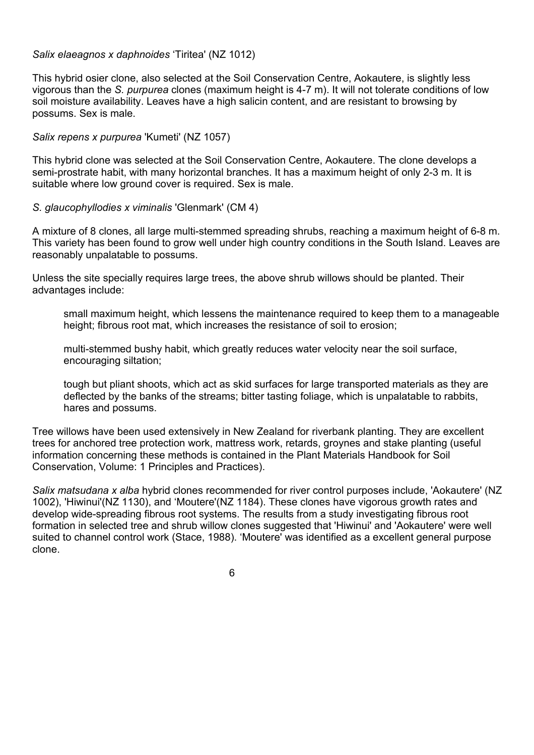#### *Salix elaeagnos x daphnoides* 'Tiritea' (NZ 1012)

This hybrid osier clone, also selected at the Soil Conservation Centre, Aokautere, is slightly less vigorous than the *S. purpurea* clones (maximum height is 4-7 m). It will not tolerate conditions of low soil moisture availability. Leaves have a high salicin content, and are resistant to browsing by possums. Sex is male.

#### *Salix repens x purpurea* 'Kumeti' (NZ 1057)

This hybrid clone was selected at the Soil Conservation Centre, Aokautere. The clone develops a semi-prostrate habit, with many horizontal branches. It has a maximum height of only 2-3 m. It is suitable where low ground cover is required. Sex is male.

#### *S. glaucophyllodies x viminalis* 'Glenmark' (CM 4)

A mixture of 8 clones, all large multi-stemmed spreading shrubs, reaching a maximum height of 6-8 m. This variety has been found to grow well under high country conditions in the South Island. Leaves are reasonably unpalatable to possums.

Unless the site specially requires large trees, the above shrub willows should be planted. Their advantages include:

small maximum height, which lessens the maintenance required to keep them to a manageable height; fibrous root mat, which increases the resistance of soil to erosion;

multi-stemmed bushy habit, which greatly reduces water velocity near the soil surface, encouraging siltation;

tough but pliant shoots, which act as skid surfaces for large transported materials as they are deflected by the banks of the streams; bitter tasting foliage, which is unpalatable to rabbits, hares and possums.

Tree willows have been used extensively in New Zealand for riverbank planting. They are excellent trees for anchored tree protection work, mattress work, retards, groynes and stake planting (useful information concerning these methods is contained in the Plant Materials Handbook for Soil Conservation, Volume: 1 Principles and Practices).

*Salix matsudana x alba* hybrid clones recommended for river control purposes include, 'Aokautere' (NZ 1002), 'Hiwinui'(NZ 1130), and 'Moutere'(NZ 1184). These clones have vigorous growth rates and develop wide-spreading fibrous root systems. The results from a study investigating fibrous root formation in selected tree and shrub willow clones suggested that 'Hiwinui' and 'Aokautere' were well suited to channel control work (Stace, 1988). 'Moutere' was identified as a excellent general purpose clone.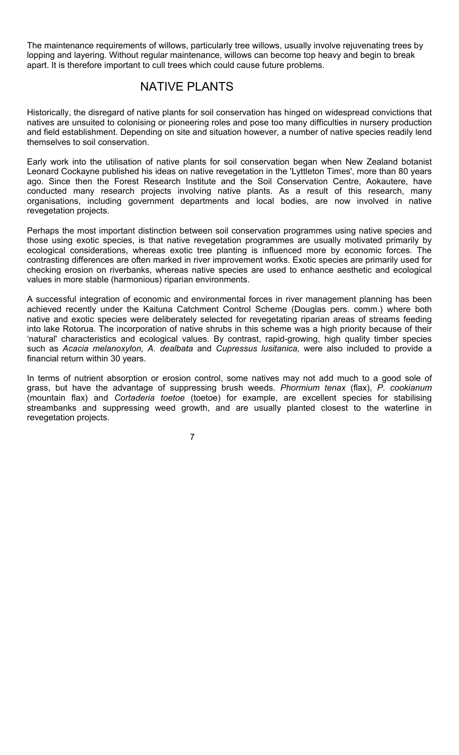The maintenance requirements of willows, particularly tree willows, usually involve rejuvenating trees by lopping and layering. Without regular maintenance, willows can become top heavy and begin to break apart. It is therefore important to cull trees which could cause future problems.

## NATIVE PLANTS

Historically, the disregard of native plants for soil conservation has hinged on widespread convictions that natives are unsuited to colonising or pioneering roles and pose too many difficulties in nursery production and field establishment. Depending on site and situation however, a number of native species readily lend themselves to soil conservation.

Early work into the utilisation of native plants for soil conservation began when New Zealand botanist Leonard Cockayne published his ideas on native revegetation in the 'Lyttleton Times', more than 80 years ago. Since then the Forest Research Institute and the Soil Conservation Centre, Aokautere, have conducted many research projects involving native plants. As a result of this research, many organisations, including government departments and local bodies, are now involved in native revegetation projects.

Perhaps the most important distinction between soil conservation programmes using native species and those using exotic species, is that native revegetation programmes are usually motivated primarily by ecological considerations, whereas exotic tree planting is influenced more by economic forces. The contrasting differences are often marked in river improvement works. Exotic species are primarily used for checking erosion on riverbanks, whereas native species are used to enhance aesthetic and ecological values in more stable (harmonious) riparian environments.

A successful integration of economic and environmental forces in river management planning has been achieved recently under the Kaituna Catchment Control Scheme (Douglas pers. comm.) where both native and exotic species were deliberately selected for revegetating riparian areas of streams feeding into lake Rotorua. The incorporation of native shrubs in this scheme was a high priority because of their 'natural' characteristics and ecological values. By contrast, rapid-growing, high quality timber species such as *Acacia melanoxylon, A. dealbata* and *Cupressus lusitanica,* were also included to provide a financial return within 30 years.

In terms of nutrient absorption or erosion control, some natives may not add much to a good sole of grass, but have the advantage of suppressing brush weeds. *Phormium tenax* (flax), *P*. *cookianum* (mountain flax) and *Cortaderia toetoe* (toetoe) for example, are excellent species for stabilising streambanks and suppressing weed growth, and are usually planted closest to the waterline in revegetation projects.

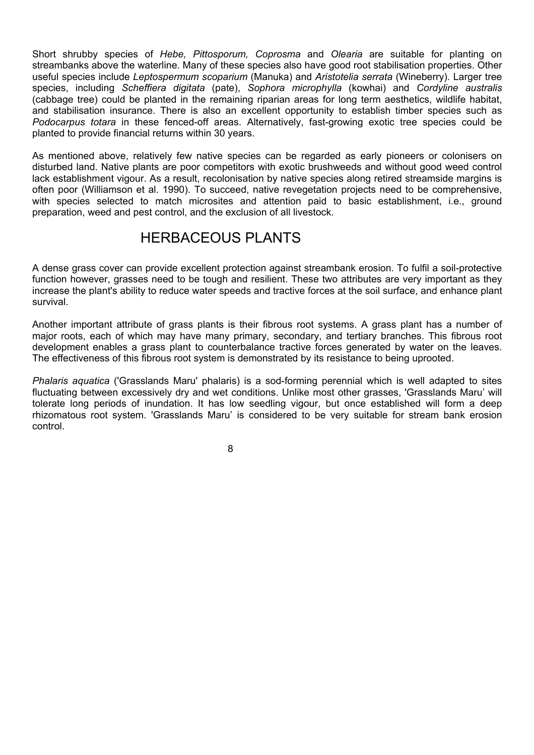Short shrubby species of *Hebe, Pittosporum, Coprosma* and *Olearia* are suitable for planting on streambanks above the waterline. Many of these species also have good root stabilisation properties. Other useful species include *Leptospermum scoparium* (Manuka) and *Aristotelia serrata* (Wineberry). Larger tree species, including *Scheffiera digitata* (pate), *Sophora microphylla* (kowhai) and *Cordyline australis* (cabbage tree) could be planted in the remaining riparian areas for long term aesthetics, wildlife habitat, and stabilisation insurance. There is also an excellent opportunity to establish timber species such as *Podocarpus totara* in these fenced-off areas. Alternatively, fast-growing exotic tree species could be planted to provide financial returns within 30 years.

As mentioned above, relatively few native species can be regarded as early pioneers or colonisers on disturbed land. Native plants are poor competitors with exotic brushweeds and without good weed control lack establishment vigour. As a result, recolonisation by native species along retired streamside margins is often poor (Williamson et al. 1990). To succeed, native revegetation projects need to be comprehensive, with species selected to match microsites and attention paid to basic establishment, i.e., ground preparation, weed and pest control, and the exclusion of all livestock.

### HERBACEOUS PLANTS

A dense grass cover can provide excellent protection against streambank erosion. To fulfil a soil-protective function however, grasses need to be tough and resilient. These two attributes are very important as they increase the plant's ability to reduce water speeds and tractive forces at the soil surface, and enhance plant survival.

Another important attribute of grass plants is their fibrous root systems. A grass plant has a number of major roots, each of which may have many primary, secondary, and tertiary branches. This fibrous root development enables a grass plant to counterbalance tractive forces generated by water on the leaves. The effectiveness of this fibrous root system is demonstrated by its resistance to being uprooted.

*Phalaris aquatica* ('Grasslands Maru' phalaris) is a sod-forming perennial which is well adapted to sites fluctuating between excessively dry and wet conditions. Unlike most other grasses, 'Grasslands Maru' will tolerate long periods of inundation. It has low seedling vigour, but once established will form a deep rhizomatous root system. 'Grasslands Maru' is considered to be very suitable for stream bank erosion control.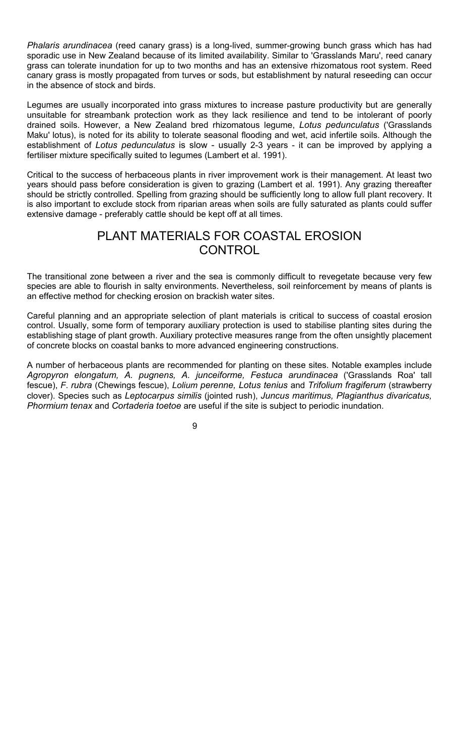*Phalaris arundinacea* (reed canary grass) is a long-lived, summer-growing bunch grass which has had sporadic use in New Zealand because of its limited availability. Similar to 'Grasslands Maru', reed canary grass can tolerate inundation for up to two months and has an extensive rhizomatous root system. Reed canary grass is mostly propagated from turves or sods, but establishment by natural reseeding can occur in the absence of stock and birds.

Legumes are usually incorporated into grass mixtures to increase pasture productivity but are generally unsuitable for streambank protection work as they lack resilience and tend to be intolerant of poorly drained soils. However, a New Zealand bred rhizomatous legume, *Lotus pedunculatus* ('Grasslands Maku' lotus), is noted for its ability to tolerate seasonal flooding and wet, acid infertile soils. Although the establishment of *Lotus pedunculatus* is slow - usually 2-3 years - it can be improved by applying a fertiliser mixture specifically suited to legumes (Lambert et al. 1991).

Critical to the success of herbaceous plants in river improvement work is their management. At least two years should pass before consideration is given to grazing (Lambert et al. 1991). Any grazing thereafter should be strictly controlled. Spelling from grazing should be sufficiently long to allow full plant recovery. It is also important to exclude stock from riparian areas when soils are fully saturated as plants could suffer extensive damage - preferably cattle should be kept off at all times.

## PLANT MATERIALS FOR COASTAL EROSION **CONTROL**

The transitional zone between a river and the sea is commonly difficult to revegetate because very few species are able to flourish in salty environments. Nevertheless, soil reinforcement by means of plants is an effective method for checking erosion on brackish water sites.

Careful planning and an appropriate selection of plant materials is critical to success of coastal erosion control. Usually, some form of temporary auxiliary protection is used to stabilise planting sites during the establishing stage of plant growth. Auxiliary protective measures range from the often unsightly placement of concrete blocks on coastal banks to more advanced engineering constructions.

A number of herbaceous plants are recommended for planting on these sites. Notable examples include *Agropyron elongatum, A. pugnens, A. junceiforme, Festuca arundinacea* ('Grasslands Roa' tall fescue), *F*. *rubra* (Chewings fescue), *Lolium perenne, Lotus tenius* and *Trifolium fragiferum* (strawberry clover). Species such as *Leptocarpus similis* (jointed rush), *Juncus maritimus, Plagianthus divaricatus, Phormium tenax* and *Cortaderia toetoe* are useful if the site is subject to periodic inundation.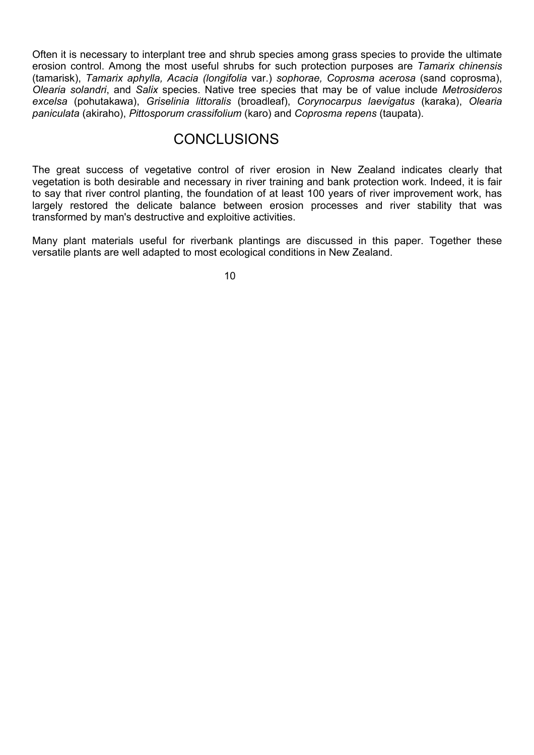Often it is necessary to interplant tree and shrub species among grass species to provide the ultimate erosion control. Among the most useful shrubs for such protection purposes are *Tamarix chinensis* (tamarisk), *Tamarix aphylla, Acacia (longifolia* var.) *sophorae, Coprosma acerosa* (sand coprosma), *Olearia solandri*, and *Salix* species. Native tree species that may be of value include *Metrosideros excelsa* (pohutakawa), *Griselinia littoralis* (broadleaf), *Corynocarpus laevigatus* (karaka), *Olearia paniculata* (akiraho), *Pittosporum crassifolium* (karo) and *Coprosma repens* (taupata).

### **CONCLUSIONS**

The great success of vegetative control of river erosion in New Zealand indicates clearly that vegetation is both desirable and necessary in river training and bank protection work. Indeed, it is fair to say that river control planting, the foundation of at least 100 years of river improvement work, has largely restored the delicate balance between erosion processes and river stability that was transformed by man's destructive and exploitive activities.

Many plant materials useful for riverbank plantings are discussed in this paper. Together these versatile plants are well adapted to most ecological conditions in New Zealand.